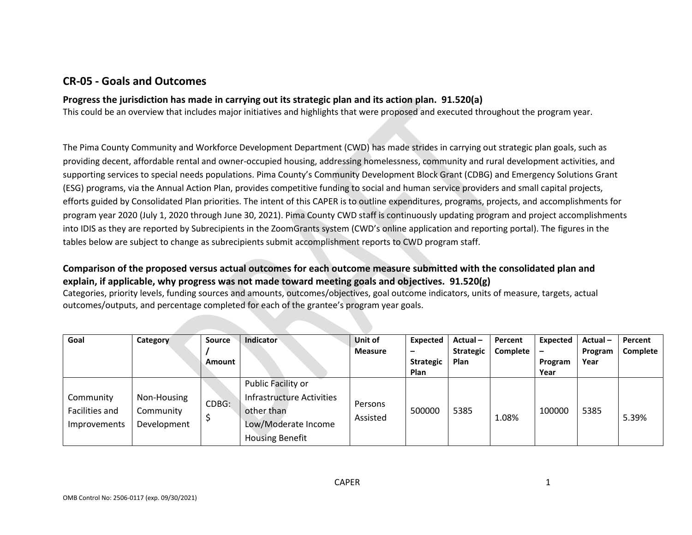# **CR-05 - Goals and Outcomes**

## **Progress the jurisdiction has made in carrying out its strategic plan and its action plan. 91.520(a)**

This could be an overview that includes major initiatives and highlights that were proposed and executed throughout the program year.

The Pima County Community and Workforce Development Department (CWD) has made strides in carrying out strategic plan goals, such as providing decent, affordable rental and owner-occupied housing, addressing homelessness, community and rural development activities, and supporting services to special needs populations. Pima County's Community Development Block Grant (CDBG) and Emergency Solutions Grant (ESG) programs, via the Annual Action Plan, provides competitive funding to social and human service providers and small capital projects, efforts guided by Consolidated Plan priorities. The intent of this CAPER is to outline expenditures, programs, projects, and accomplishments for program year 2020 (July 1, 2020 through June 30, 2021). Pima County CWD staff is continuously updating program and project accomplishments into IDIS as they are reported by Subrecipients in the ZoomGrants system (CWD's online application and reporting portal). The figures in the tables below are subject to change as subrecipients submit accomplishment reports to CWD program staff.

## **Comparison of the proposed versus actual outcomes for each outcome measure submitted with the consolidated plan and explain, if applicable, why progress was not made toward meeting goals and objectives. 91.520(g)**

Categories, priority levels, funding sources and amounts, outcomes/objectives, goal outcome indicators, units of measure, targets, actual outcomes/outputs, and percentage completed for each of the grantee's program year goals.

| Goal                                        | Category                                | Source<br>Amount | <b>Indicator</b>                                                                                               | Unit of<br><b>Measure</b> | Expected<br><b>Strategic</b><br><b>Plan</b> | Actual-<br><b>Strategic</b><br><b>Plan</b> | Percent<br><b>Complete</b> | Expected<br>Program<br>Year | Actual-<br>Program<br>Year | Percent<br>Complete |
|---------------------------------------------|-----------------------------------------|------------------|----------------------------------------------------------------------------------------------------------------|---------------------------|---------------------------------------------|--------------------------------------------|----------------------------|-----------------------------|----------------------------|---------------------|
| Community<br>Facilities and<br>Improvements | Non-Housing<br>Community<br>Development | CDBG:            | Public Facility or<br>Infrastructure Activities<br>other than<br>Low/Moderate Income<br><b>Housing Benefit</b> | Persons<br>Assisted       | 500000                                      | 5385                                       | 1.08%                      | 100000                      | 5385                       | 5.39%               |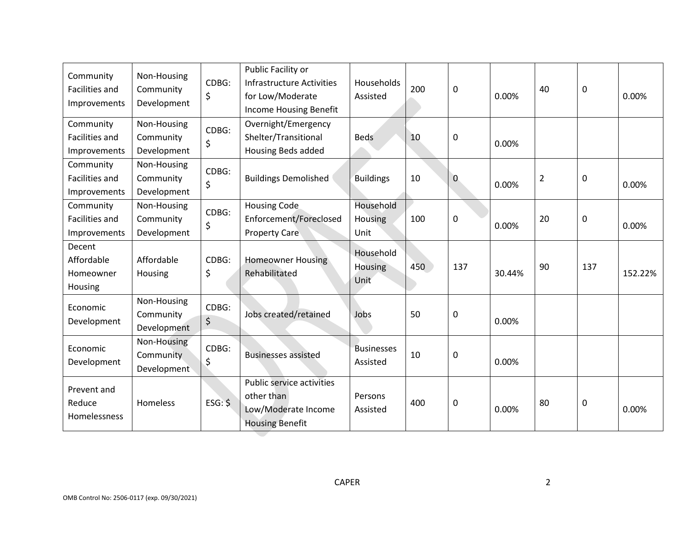| Community<br><b>Facilities and</b><br>Improvements | Non-Housing<br>Community<br>Development | CDBG:<br>\$ | Public Facility or<br><b>Infrastructure Activities</b><br>for Low/Moderate<br>Income Housing Benefit | Households<br>Assisted        | 200 | 0           | 0.00%  | 40             | 0   | 0.00%   |
|----------------------------------------------------|-----------------------------------------|-------------|------------------------------------------------------------------------------------------------------|-------------------------------|-----|-------------|--------|----------------|-----|---------|
| Community<br><b>Facilities and</b><br>Improvements | Non-Housing<br>Community<br>Development | CDBG:<br>\$ | Overnight/Emergency<br>Shelter/Transitional<br>Housing Beds added                                    | <b>Beds</b>                   | 10  | $\pmb{0}$   | 0.00%  |                |     |         |
| Community<br><b>Facilities and</b><br>Improvements | Non-Housing<br>Community<br>Development | CDBG:<br>\$ | <b>Buildings Demolished</b>                                                                          | <b>Buildings</b>              | 10  | $\mathbf 0$ | 0.00%  | $\overline{2}$ | 0   | 0.00%   |
| Community<br>Facilities and<br>Improvements        | Non-Housing<br>Community<br>Development | CDBG:<br>\$ | <b>Housing Code</b><br>Enforcement/Foreclosed<br><b>Property Care</b>                                | Household<br>Housing<br>Unit  | 100 | 0           | 0.00%  | 20             | 0   | 0.00%   |
| Decent<br>Affordable<br>Homeowner<br>Housing       | Affordable<br>Housing                   | CDBG:<br>\$ | <b>Homeowner Housing</b><br>Rehabilitated                                                            | Household<br>Housing<br>Unit  | 450 | 137         | 30.44% | 90             | 137 | 152.22% |
| Economic<br>Development                            | Non-Housing<br>Community<br>Development | CDBG:<br>\$ | Jobs created/retained                                                                                | Jobs                          | 50  | 0           | 0.00%  |                |     |         |
| Economic<br>Development                            | Non-Housing<br>Community<br>Development | CDBG:<br>\$ | <b>Businesses assisted</b>                                                                           | <b>Businesses</b><br>Assisted | 10  | 0           | 0.00%  |                |     |         |
| Prevent and<br>Reduce<br>Homelessness              | Homeless                                | $ESG:$ \$   | <b>Public service activities</b><br>other than<br>Low/Moderate Income<br><b>Housing Benefit</b>      | Persons<br>Assisted           | 400 | 0           | 0.00%  | 80             | 0   | 0.00%   |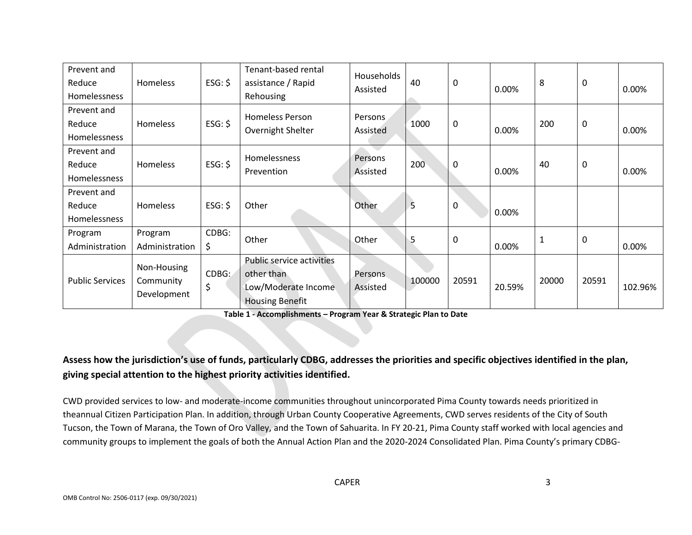| Prevent and<br>Reduce<br>Homelessness        | Homeless                                | $ESG:$ \$   | Tenant-based rental<br>assistance / Rapid<br>Rehousing                                   | Households<br>Assisted | 40     | 0            | 0.00%  | 8           | 0     | 0.00%   |
|----------------------------------------------|-----------------------------------------|-------------|------------------------------------------------------------------------------------------|------------------------|--------|--------------|--------|-------------|-------|---------|
| Prevent and<br>Reduce<br><b>Homelessness</b> | Homeless                                | ESG: \$     | <b>Homeless Person</b><br>Overnight Shelter                                              | Persons<br>Assisted    | 1000   | 0            | 0.00%  | 200         | 0     | 0.00%   |
| Prevent and<br>Reduce<br>Homelessness        | Homeless                                | ESG: \$     | Homelessness<br>Prevention                                                               | Persons<br>Assisted    | 200    | $\mathbf{0}$ | 0.00%  | 40          | 0     | 0.00%   |
| Prevent and<br>Reduce<br>Homelessness        | Homeless                                | $ESG:$ \$   | Other                                                                                    | Other                  | 5      | 0            | 0.00%  |             |       |         |
| Program<br>Administration                    | Program<br>Administration               | CDBG:<br>\$ | Other                                                                                    | Other                  | 5      | 0            | 0.00%  | $\mathbf 1$ | 0     | 0.00%   |
| <b>Public Services</b>                       | Non-Housing<br>Community<br>Development | CDBG:<br>\$ | Public service activities<br>other than<br>Low/Moderate Income<br><b>Housing Benefit</b> | Persons.<br>Assisted   | 100000 | 20591        | 20.59% | 20000       | 20591 | 102.96% |

**Table 1 - Accomplishments – Program Year & Strategic Plan to Date**

# **Assess how the jurisdiction's use of funds, particularly CDBG, addresses the priorities and specific objectives identified in the plan, giving special attention to the highest priority activities identified.**

CWD provided services to low- and moderate-income communities throughout unincorporated Pima County towards needs prioritized in theannual Citizen Participation Plan. In addition, through Urban County Cooperative Agreements, CWD serves residents of the City of South Tucson, the Town of Marana, the Town of Oro Valley, and the Town of Sahuarita. In FY 20-21, Pima County staff worked with local agencies and community groups to implement the goals of both the Annual Action Plan and the 2020-2024 Consolidated Plan. Pima County's primary CDBG-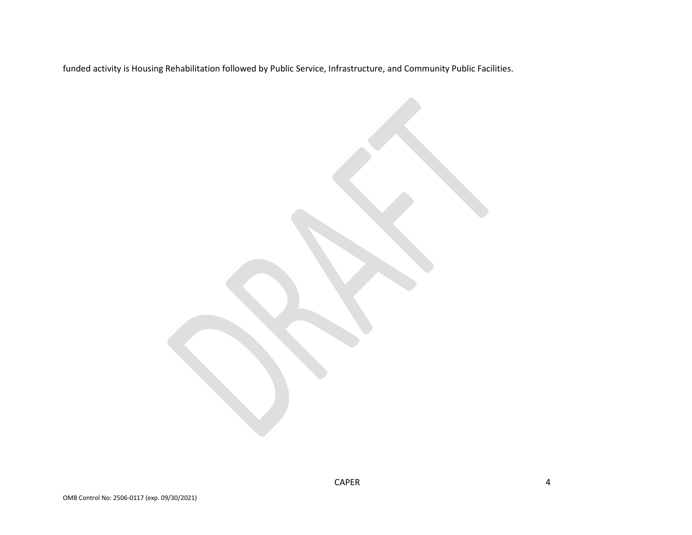funded activity is Housing Rehabilitation followed by Public Service, Infrastructure, and Community Public Facilities.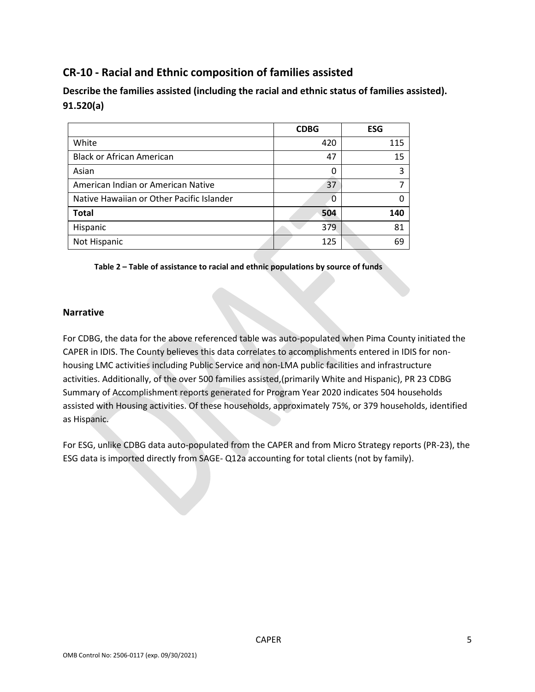# **CR-10 - Racial and Ethnic composition of families assisted**

**Describe the families assisted (including the racial and ethnic status of families assisted). 91.520(a)** 

|                                           | <b>CDBG</b> | <b>ESG</b> |
|-------------------------------------------|-------------|------------|
| White                                     | 420         | 115        |
| <b>Black or African American</b>          | 47          | 15         |
| Asian                                     | 0           |            |
| American Indian or American Native        | 37          |            |
| Native Hawaiian or Other Pacific Islander | 0           |            |
| <b>Total</b>                              | 504         | 140        |
| Hispanic                                  | 379         | 81         |
| Not Hispanic                              | 125         | 69         |

**Table 2 – Table of assistance to racial and ethnic populations by source of funds**

### **Narrative**

For CDBG, the data for the above referenced table was auto-populated when Pima County initiated the CAPER in IDIS. The County believes this data correlates to accomplishments entered in IDIS for nonhousing LMC activities including Public Service and non-LMA public facilities and infrastructure activities. Additionally, of the over 500 families assisted,(primarily White and Hispanic), PR 23 CDBG Summary of Accomplishment reports generated for Program Year 2020 indicates 504 households assisted with Housing activities. Of these households, approximately 75%, or 379 households, identified as Hispanic.

For ESG, unlike CDBG data auto-populated from the CAPER and from Micro Strategy reports (PR-23), the ESG data is imported directly from SAGE- Q12a accounting for total clients (not by family).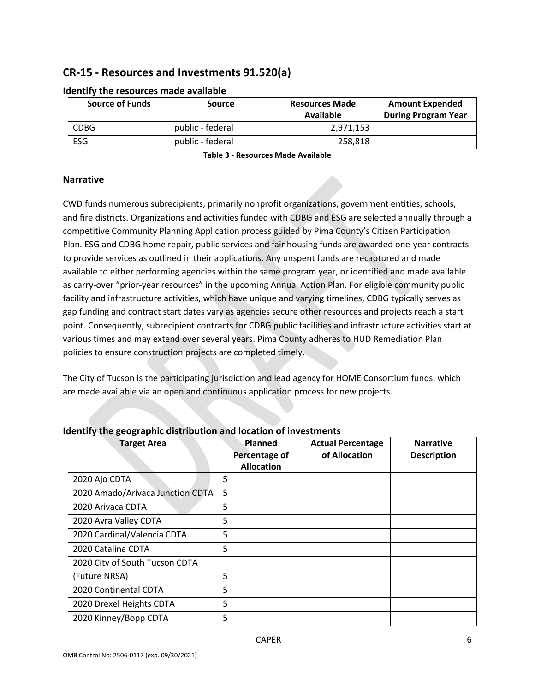# **CR-15 - Resources and Investments 91.520(a)**

| <b>Source of Funds</b> | <b>Source</b>    | <b>Resources Made</b><br>Available | <b>Amount Expended</b><br><b>During Program Year</b> |
|------------------------|------------------|------------------------------------|------------------------------------------------------|
| <b>CDBG</b>            | public - federal | 2,971,153                          |                                                      |
| ESG                    | public - federal | 258,818                            |                                                      |

#### **Identify the resources made available**

**Table 3 - Resources Made Available**

### **Narrative**

CWD funds numerous subrecipients, primarily nonprofit organizations, government entities, schools, and fire districts. Organizations and activities funded with CDBG and ESG are selected annually through a competitive Community Planning Application process guided by Pima County's Citizen Participation Plan. ESG and CDBG home repair, public services and fair housing funds are awarded one-year contracts to provide services as outlined in their applications. Any unspent funds are recaptured and made available to either performing agencies within the same program year, or identified and made available as carry-over "prior-year resources" in the upcoming Annual Action Plan. For eligible community public facility and infrastructure activities, which have unique and varying timelines, CDBG typically serves as gap funding and contract start dates vary as agencies secure other resources and projects reach a start point. Consequently, subrecipient contracts for CDBG public facilities and infrastructure activities start at various times and may extend over several years. Pima County adheres to HUD Remediation Plan policies to ensure construction projects are completed timely.

The City of Tucson is the participating jurisdiction and lead agency for HOME Consortium funds, which are made available via an open and continuous application process for new projects.

| <b>Target Area</b>               | Planned<br>Percentage of<br><b>Allocation</b> | <b>Actual Percentage</b><br>of Allocation | <b>Narrative</b><br><b>Description</b> |
|----------------------------------|-----------------------------------------------|-------------------------------------------|----------------------------------------|
| 2020 Ajo CDTA                    | 5                                             |                                           |                                        |
| 2020 Amado/Arivaca Junction CDTA | 5                                             |                                           |                                        |
| 2020 Arivaca CDTA                | 5                                             |                                           |                                        |
| 2020 Avra Valley CDTA            | 5                                             |                                           |                                        |
| 2020 Cardinal/Valencia CDTA      | 5                                             |                                           |                                        |
| 2020 Catalina CDTA               | 5                                             |                                           |                                        |
| 2020 City of South Tucson CDTA   |                                               |                                           |                                        |
| (Future NRSA)                    | 5                                             |                                           |                                        |
| 2020 Continental CDTA            | 5                                             |                                           |                                        |
| 2020 Drexel Heights CDTA         | 5                                             |                                           |                                        |
| 2020 Kinney/Bopp CDTA            | 5                                             |                                           |                                        |

### **Identify the geographic distribution and location of investments**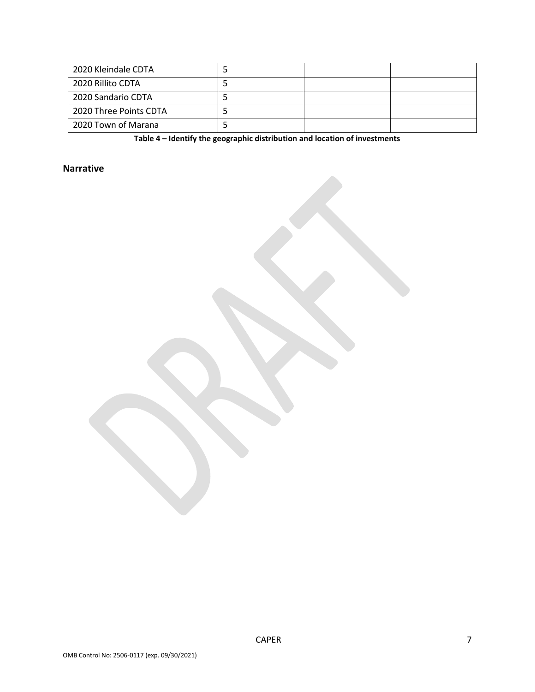| 2020 Kleindale CDTA    |  |  |
|------------------------|--|--|
| 2020 Rillito CDTA      |  |  |
| 2020 Sandario CDTA     |  |  |
| 2020 Three Points CDTA |  |  |
| 2020 Town of Marana    |  |  |

**Table 4 – Identify the geographic distribution and location of investments**

## **Narrative**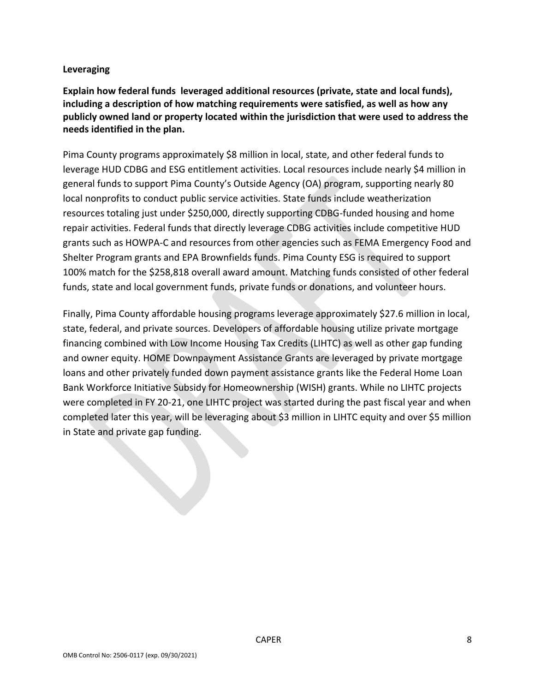### **Leveraging**

**Explain how federal funds leveraged additional resources (private, state and local funds), including a description of how matching requirements were satisfied, as well as how any publicly owned land or property located within the jurisdiction that were used to address the needs identified in the plan.**

Pima County programs approximately \$8 million in local, state, and other federal funds to leverage HUD CDBG and ESG entitlement activities. Local resources include nearly \$4 million in general funds to support Pima County's Outside Agency (OA) program, supporting nearly 80 local nonprofits to conduct public service activities. State funds include weatherization resources totaling just under \$250,000, directly supporting CDBG-funded housing and home repair activities. Federal funds that directly leverage CDBG activities include competitive HUD grants such as HOWPA-C and resources from other agencies such as FEMA Emergency Food and Shelter Program grants and EPA Brownfields funds. Pima County ESG is required to support 100% match for the \$258,818 overall award amount. Matching funds consisted of other federal funds, state and local government funds, private funds or donations, and volunteer hours.

Finally, Pima County affordable housing programs leverage approximately \$27.6 million in local, state, federal, and private sources. Developers of affordable housing utilize private mortgage financing combined with Low Income Housing Tax Credits (LIHTC) as well as other gap funding and owner equity. HOME Downpayment Assistance Grants are leveraged by private mortgage loans and other privately funded down payment assistance grants like the Federal Home Loan Bank Workforce Initiative Subsidy for Homeownership (WISH) grants. While no LIHTC projects were completed in FY 20-21, one LIHTC project was started during the past fiscal year and when completed later this year, will be leveraging about \$3 million in LIHTC equity and over \$5 million in State and private gap funding.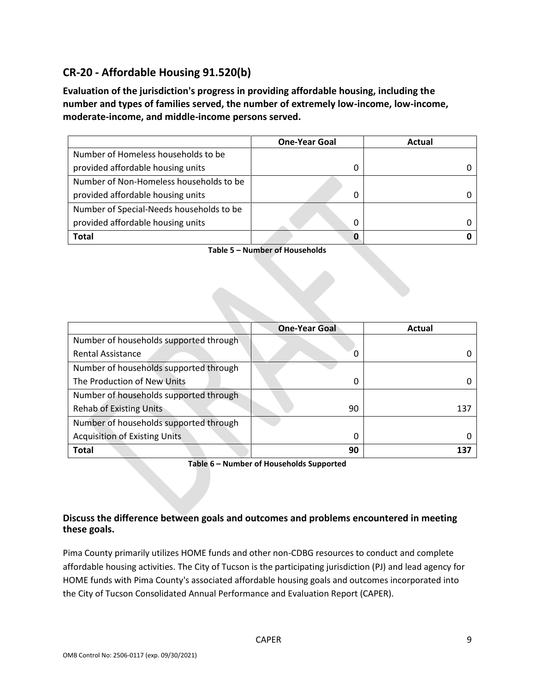# **CR-20 - Affordable Housing 91.520(b)**

**Evaluation of the jurisdiction's progress in providing affordable housing, including the number and types of families served, the number of extremely low-income, low-income, moderate-income, and middle-income persons served.**

|                                          | <b>One-Year Goal</b> | Actual |
|------------------------------------------|----------------------|--------|
| Number of Homeless households to be      |                      |        |
| provided affordable housing units        |                      |        |
| Number of Non-Homeless households to be  |                      |        |
| provided affordable housing units        | 0                    |        |
| Number of Special-Needs households to be |                      |        |
| provided affordable housing units        | 0                    |        |
| <b>Total</b>                             | 0                    |        |

**Table 5 – Number of Households**

|                                        | <b>One-Year Goal</b> | Actual       |
|----------------------------------------|----------------------|--------------|
| Number of households supported through |                      |              |
| <b>Rental Assistance</b>               | O                    |              |
| Number of households supported through |                      |              |
| The Production of New Units            | 0                    |              |
| Number of households supported through |                      |              |
| <b>Rehab of Existing Units</b>         | 90                   | 137          |
| Number of households supported through |                      |              |
| <b>Acquisition of Existing Units</b>   | 0                    |              |
| <b>Total</b>                           | 90                   | $13^{\circ}$ |

**Table 6 – Number of Households Supported**

### **Discuss the difference between goals and outcomes and problems encountered in meeting these goals.**

Pima County primarily utilizes HOME funds and other non-CDBG resources to conduct and complete affordable housing activities. The City of Tucson is the participating jurisdiction (PJ) and lead agency for HOME funds with Pima County's associated affordable housing goals and outcomes incorporated into the City of Tucson Consolidated Annual Performance and Evaluation Report (CAPER).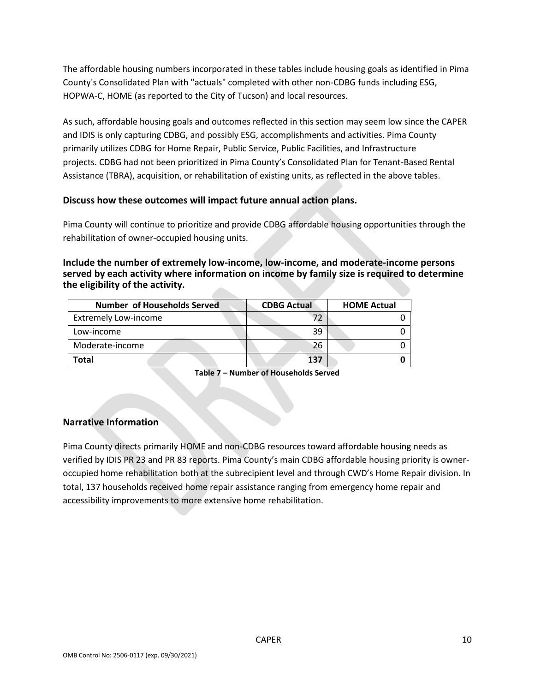The affordable housing numbers incorporated in these tables include housing goals as identified in Pima County's Consolidated Plan with "actuals" completed with other non-CDBG funds including ESG, HOPWA-C, HOME (as reported to the City of Tucson) and local resources.

As such, affordable housing goals and outcomes reflected in this section may seem low since the CAPER and IDIS is only capturing CDBG, and possibly ESG, accomplishments and activities. Pima County primarily utilizes CDBG for Home Repair, Public Service, Public Facilities, and Infrastructure projects. CDBG had not been prioritized in Pima County's Consolidated Plan for Tenant-Based Rental Assistance (TBRA), acquisition, or rehabilitation of existing units, as reflected in the above tables.

### **Discuss how these outcomes will impact future annual action plans.**

Pima County will continue to prioritize and provide CDBG affordable housing opportunities through the rehabilitation of owner-occupied housing units.

#### **Include the number of extremely low-income, low-income, and moderate-income persons served by each activity where information on income by family size is required to determine the eligibility of the activity.**

| Number of Households Served | <b>CDBG Actual</b> | <b>HOME Actual</b> |
|-----------------------------|--------------------|--------------------|
| <b>Extremely Low-income</b> |                    |                    |
| Low-income                  | 39                 |                    |
| Moderate-income             | 26                 |                    |
| Total                       | 137                |                    |

**Table 7 – Number of Households Served**

## **Narrative Information**

Pima County directs primarily HOME and non-CDBG resources toward affordable housing needs as verified by IDIS PR 23 and PR 83 reports. Pima County's main CDBG affordable housing priority is owneroccupied home rehabilitation both at the subrecipient level and through CWD's Home Repair division. In total, 137 households received home repair assistance ranging from emergency home repair and accessibility improvements to more extensive home rehabilitation.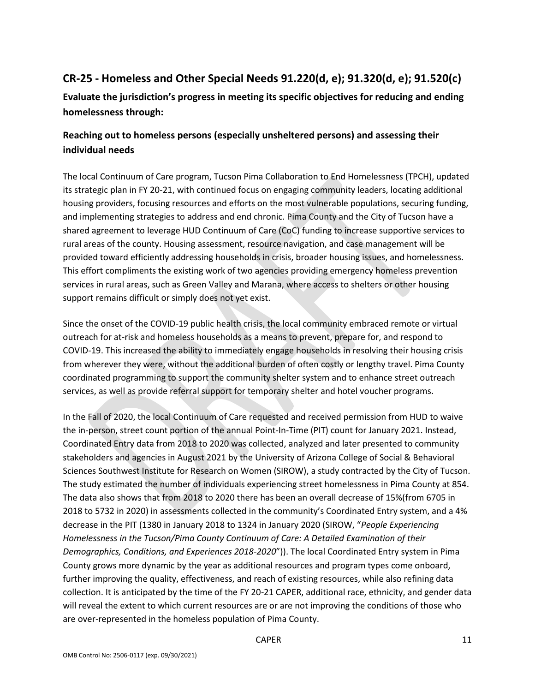# **CR-25 - Homeless and Other Special Needs 91.220(d, e); 91.320(d, e); 91.520(c)**

**Evaluate the jurisdiction's progress in meeting its specific objectives for reducing and ending homelessness through:**

# **Reaching out to homeless persons (especially unsheltered persons) and assessing their individual needs**

The local Continuum of Care program, Tucson Pima Collaboration to End Homelessness (TPCH), updated its strategic plan in FY 20-21, with continued focus on engaging community leaders, locating additional housing providers, focusing resources and efforts on the most vulnerable populations, securing funding, and implementing strategies to address and end chronic. Pima County and the City of Tucson have a shared agreement to leverage HUD Continuum of Care (CoC) funding to increase supportive services to rural areas of the county. Housing assessment, resource navigation, and case management will be provided toward efficiently addressing households in crisis, broader housing issues, and homelessness. This effort compliments the existing work of two agencies providing emergency homeless prevention services in rural areas, such as Green Valley and Marana, where access to shelters or other housing support remains difficult or simply does not yet exist.

Since the onset of the COVID-19 public health crisis, the local community embraced remote or virtual outreach for at-risk and homeless households as a means to prevent, prepare for, and respond to COVID-19. This increased the ability to immediately engage households in resolving their housing crisis from wherever they were, without the additional burden of often costly or lengthy travel. Pima County coordinated programming to support the community shelter system and to enhance street outreach services, as well as provide referral support for temporary shelter and hotel voucher programs.

In the Fall of 2020, the local Continuum of Care requested and received permission from HUD to waive the in-person, street count portion of the annual Point-In-Time (PIT) count for January 2021. Instead, Coordinated Entry data from 2018 to 2020 was collected, analyzed and later presented to community stakeholders and agencies in August 2021 by the University of Arizona College of Social & Behavioral Sciences Southwest Institute for Research on Women (SIROW), a study contracted by the City of Tucson. The study estimated the number of individuals experiencing street homelessness in Pima County at 854. The data also shows that from 2018 to 2020 there has been an overall decrease of 15%(from 6705 in 2018 to 5732 in 2020) in assessments collected in the community's Coordinated Entry system, and a 4% decrease in the PIT (1380 in January 2018 to 1324 in January 2020 (SIROW, "*People Experiencing Homelessness in the Tucson/Pima County Continuum of Care: A Detailed Examination of their Demographics, Conditions, and Experiences 2018-2020*")). The local Coordinated Entry system in Pima County grows more dynamic by the year as additional resources and program types come onboard, further improving the quality, effectiveness, and reach of existing resources, while also refining data collection. It is anticipated by the time of the FY 20-21 CAPER, additional race, ethnicity, and gender data will reveal the extent to which current resources are or are not improving the conditions of those who are over-represented in the homeless population of Pima County.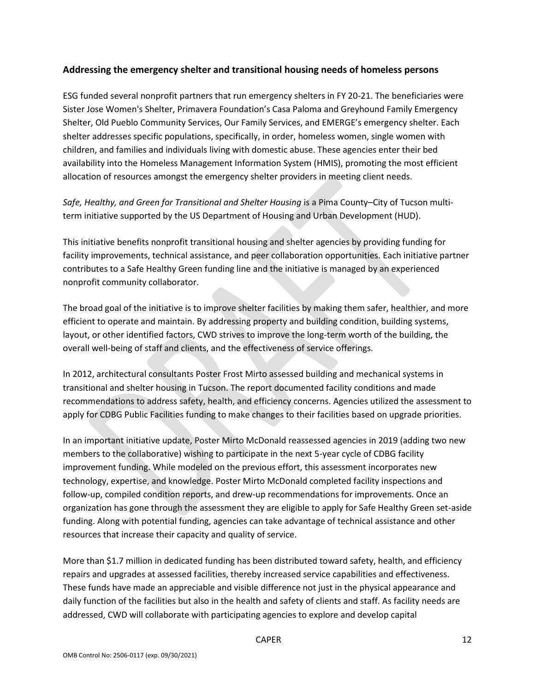### **Addressing the emergency shelter and transitional housing needs of homeless persons**

ESG funded several nonprofit partners that run emergency shelters in FY 20-21. The beneficiaries were Sister Jose Women's Shelter, Primavera Foundation's Casa Paloma and Greyhound Family Emergency Shelter, Old Pueblo Community Services, Our Family Services, and EMERGE's emergency shelter. Each shelter addresses specific populations, specifically, in order, homeless women, single women with children, and families and individuals living with domestic abuse. These agencies enter their bed availability into the Homeless Management Information System (HMIS), promoting the most efficient allocation of resources amongst the emergency shelter providers in meeting client needs.

*Safe, Healthy, and Green for Transitional and Shelter Housing* is a Pima County–City of Tucson multiterm initiative supported by the US Department of Housing and Urban Development (HUD).

This initiative benefits nonprofit transitional housing and shelter agencies by providing funding for facility improvements, technical assistance, and peer collaboration opportunities. Each initiative partner contributes to a Safe Healthy Green funding line and the initiative is managed by an experienced nonprofit community collaborator.

The broad goal of the initiative is to improve shelter facilities by making them safer, healthier, and more efficient to operate and maintain. By addressing property and building condition, building systems, layout, or other identified factors, CWD strives to improve the long-term worth of the building, the overall well-being of staff and clients, and the effectiveness of service offerings.

In 2012, architectural consultants Poster Frost Mirto assessed building and mechanical systems in transitional and shelter housing in Tucson. The report documented facility conditions and made recommendations to address safety, health, and efficiency concerns. Agencies utilized the assessment to apply for CDBG Public Facilities funding to make changes to their facilities based on upgrade priorities.

In an important initiative update, Poster Mirto McDonald reassessed agencies in 2019 (adding two new members to the collaborative) wishing to participate in the next 5-year cycle of CDBG facility improvement funding. While modeled on the previous effort, this assessment incorporates new technology, expertise, and knowledge. Poster Mirto McDonald completed facility inspections and follow-up, compiled condition reports, and drew-up recommendations for improvements. Once an organization has gone through the assessment they are eligible to apply for Safe Healthy Green set-aside funding. Along with potential funding, agencies can take advantage of technical assistance and other resources that increase their capacity and quality of service.

More than \$1.7 million in dedicated funding has been distributed toward safety, health, and efficiency repairs and upgrades at assessed facilities, thereby increased service capabilities and effectiveness. These funds have made an appreciable and visible difference not just in the physical appearance and daily function of the facilities but also in the health and safety of clients and staff. As facility needs are addressed, CWD will collaborate with participating agencies to explore and develop capital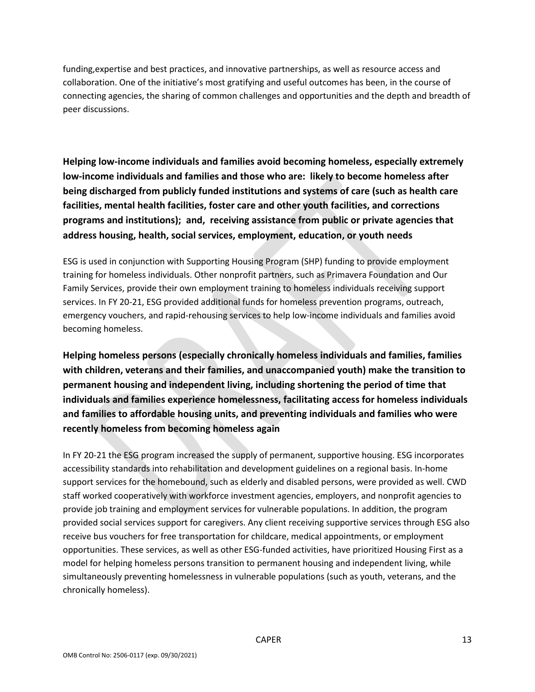funding,expertise and best practices, and innovative partnerships, as well as resource access and collaboration. One of the initiative's most gratifying and useful outcomes has been, in the course of connecting agencies, the sharing of common challenges and opportunities and the depth and breadth of peer discussions.

**Helping low-income individuals and families avoid becoming homeless, especially extremely low-income individuals and families and those who are: likely to become homeless after being discharged from publicly funded institutions and systems of care (such as health care facilities, mental health facilities, foster care and other youth facilities, and corrections programs and institutions); and, receiving assistance from public or private agencies that address housing, health, social services, employment, education, or youth needs**

ESG is used in conjunction with Supporting Housing Program (SHP) funding to provide employment training for homeless individuals. Other nonprofit partners, such as Primavera Foundation and Our Family Services, provide their own employment training to homeless individuals receiving support services. In FY 20-21, ESG provided additional funds for homeless prevention programs, outreach, emergency vouchers, and rapid-rehousing services to help low-income individuals and families avoid becoming homeless.

**Helping homeless persons (especially chronically homeless individuals and families, families with children, veterans and their families, and unaccompanied youth) make the transition to permanent housing and independent living, including shortening the period of time that individuals and families experience homelessness, facilitating access for homeless individuals and families to affordable housing units, and preventing individuals and families who were recently homeless from becoming homeless again**

In FY 20-21 the ESG program increased the supply of permanent, supportive housing. ESG incorporates accessibility standards into rehabilitation and development guidelines on a regional basis. In-home support services for the homebound, such as elderly and disabled persons, were provided as well. CWD staff worked cooperatively with workforce investment agencies, employers, and nonprofit agencies to provide job training and employment services for vulnerable populations. In addition, the program provided social services support for caregivers. Any client receiving supportive services through ESG also receive bus vouchers for free transportation for childcare, medical appointments, or employment opportunities. These services, as well as other ESG-funded activities, have prioritized Housing First as a model for helping homeless persons transition to permanent housing and independent living, while simultaneously preventing homelessness in vulnerable populations (such as youth, veterans, and the chronically homeless).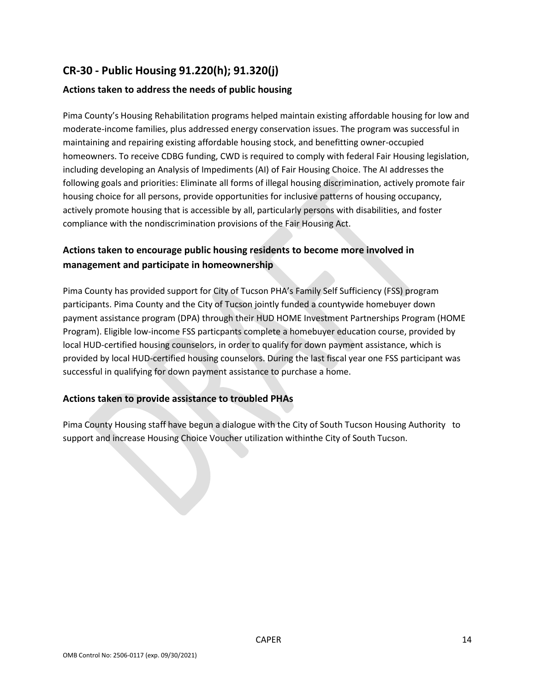# **CR-30 - Public Housing 91.220(h); 91.320(j)**

### **Actions taken to address the needs of public housing**

Pima County's Housing Rehabilitation programs helped maintain existing affordable housing for low and moderate-income families, plus addressed energy conservation issues. The program was successful in maintaining and repairing existing affordable housing stock, and benefitting owner-occupied homeowners. To receive CDBG funding, CWD is required to comply with federal Fair Housing legislation, including developing an Analysis of Impediments (AI) of Fair Housing Choice. The AI addresses the following goals and priorities: Eliminate all forms of illegal housing discrimination, actively promote fair housing choice for all persons, provide opportunities for inclusive patterns of housing occupancy, actively promote housing that is accessible by all, particularly persons with disabilities, and foster compliance with the nondiscrimination provisions of the Fair Housing Act.

## **Actions taken to encourage public housing residents to become more involved in management and participate in homeownership**

Pima County has provided support for City of Tucson PHA's Family Self Sufficiency (FSS) program participants. Pima County and the City of Tucson jointly funded a countywide homebuyer down payment assistance program (DPA) through their HUD HOME Investment Partnerships Program (HOME Program). Eligible low-income FSS particpants complete a homebuyer education course, provided by local HUD-certified housing counselors, in order to qualify for down payment assistance, which is provided by local HUD-certified housing counselors. During the last fiscal year one FSS participant was successful in qualifying for down payment assistance to purchase a home.

## **Actions taken to provide assistance to troubled PHAs**

Pima County Housing staff have begun a dialogue with the City of South Tucson Housing Authority to support and increase Housing Choice Voucher utilization withinthe City of South Tucson.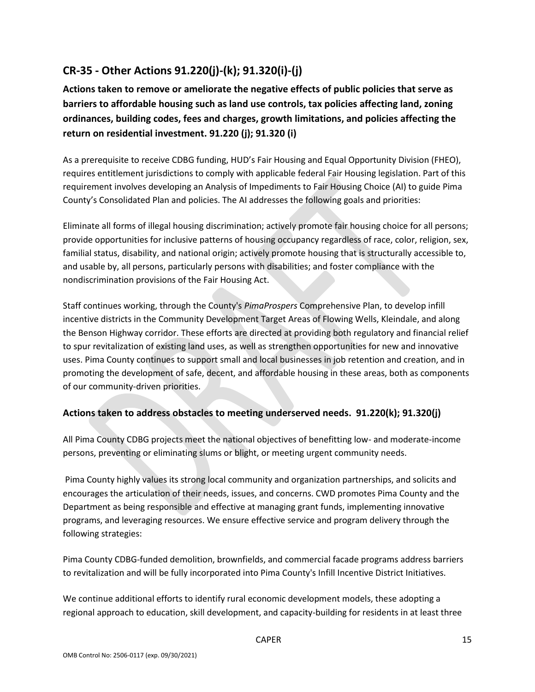# **CR-35 - Other Actions 91.220(j)-(k); 91.320(i)-(j)**

**Actions taken to remove or ameliorate the negative effects of public policies that serve as barriers to affordable housing such as land use controls, tax policies affecting land, zoning ordinances, building codes, fees and charges, growth limitations, and policies affecting the return on residential investment. 91.220 (j); 91.320 (i)**

As a prerequisite to receive CDBG funding, HUD's Fair Housing and Equal Opportunity Division (FHEO), requires entitlement jurisdictions to comply with applicable federal Fair Housing legislation. Part of this requirement involves developing an Analysis of Impediments to Fair Housing Choice (AI) to guide Pima County's Consolidated Plan and policies. The AI addresses the following goals and priorities:

Eliminate all forms of illegal housing discrimination; actively promote fair housing choice for all persons; provide opportunities for inclusive patterns of housing occupancy regardless of race, color, religion, sex, familial status, disability, and national origin; actively promote housing that is structurally accessible to, and usable by, all persons, particularly persons with disabilities; and foster compliance with the nondiscrimination provisions of the Fair Housing Act.

Staff continues working, through the County's *PimaProspers* Comprehensive Plan, to develop infill incentive districts in the Community Development Target Areas of Flowing Wells, Kleindale, and along the Benson Highway corridor. These efforts are directed at providing both regulatory and financial relief to spur revitalization of existing land uses, as well as strengthen opportunities for new and innovative uses. Pima County continues to support small and local businesses in job retention and creation, and in promoting the development of safe, decent, and affordable housing in these areas, both as components of our community-driven priorities.

## **Actions taken to address obstacles to meeting underserved needs. 91.220(k); 91.320(j)**

All Pima County CDBG projects meet the national objectives of benefitting low- and moderate-income persons, preventing or eliminating slums or blight, or meeting urgent community needs.

Pima County highly values its strong local community and organization partnerships, and solicits and encourages the articulation of their needs, issues, and concerns. CWD promotes Pima County and the Department as being responsible and effective at managing grant funds, implementing innovative programs, and leveraging resources. We ensure effective service and program delivery through the following strategies:

Pima County CDBG-funded demolition, brownfields, and commercial facade programs address barriers to revitalization and will be fully incorporated into Pima County's Infill Incentive District Initiatives.

We continue additional efforts to identify rural economic development models, these adopting a regional approach to education, skill development, and capacity-building for residents in at least three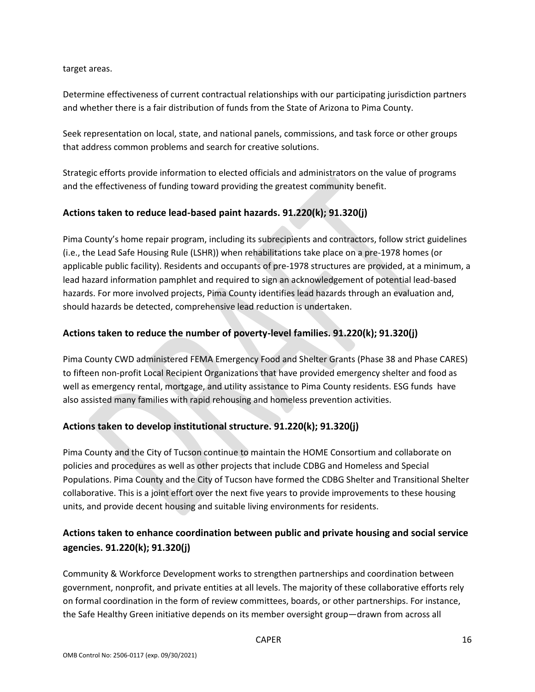target areas.

Determine effectiveness of current contractual relationships with our participating jurisdiction partners and whether there is a fair distribution of funds from the State of Arizona to Pima County.

Seek representation on local, state, and national panels, commissions, and task force or other groups that address common problems and search for creative solutions.

Strategic efforts provide information to elected officials and administrators on the value of programs and the effectiveness of funding toward providing the greatest community benefit.

### **Actions taken to reduce lead-based paint hazards. 91.220(k); 91.320(j)**

Pima County's home repair program, including its subrecipients and contractors, follow strict guidelines (i.e., the Lead Safe Housing Rule (LSHR)) when rehabilitations take place on a pre-1978 homes (or applicable public facility). Residents and occupants of pre-1978 structures are provided, at a minimum, a lead hazard information pamphlet and required to sign an acknowledgement of potential lead-based hazards. For more involved projects, Pima County identifies lead hazards through an evaluation and, should hazards be detected, comprehensive lead reduction is undertaken.

### **Actions taken to reduce the number of poverty-level families. 91.220(k); 91.320(j)**

Pima County CWD administered FEMA Emergency Food and Shelter Grants (Phase 38 and Phase CARES) to fifteen non-profit Local Recipient Organizations that have provided emergency shelter and food as well as emergency rental, mortgage, and utility assistance to Pima County residents. ESG funds have also assisted many families with rapid rehousing and homeless prevention activities.

### **Actions taken to develop institutional structure. 91.220(k); 91.320(j)**

Pima County and the City of Tucson continue to maintain the HOME Consortium and collaborate on policies and procedures as well as other projects that include CDBG and Homeless and Special Populations. Pima County and the City of Tucson have formed the CDBG Shelter and Transitional Shelter collaborative. This is a joint effort over the next five years to provide improvements to these housing units, and provide decent housing and suitable living environments for residents.

# **Actions taken to enhance coordination between public and private housing and social service agencies. 91.220(k); 91.320(j)**

Community & Workforce Development works to strengthen partnerships and coordination between government, nonprofit, and private entities at all levels. The majority of these collaborative efforts rely on formal coordination in the form of review committees, boards, or other partnerships. For instance, the Safe Healthy Green initiative depends on its member oversight group—drawn from across all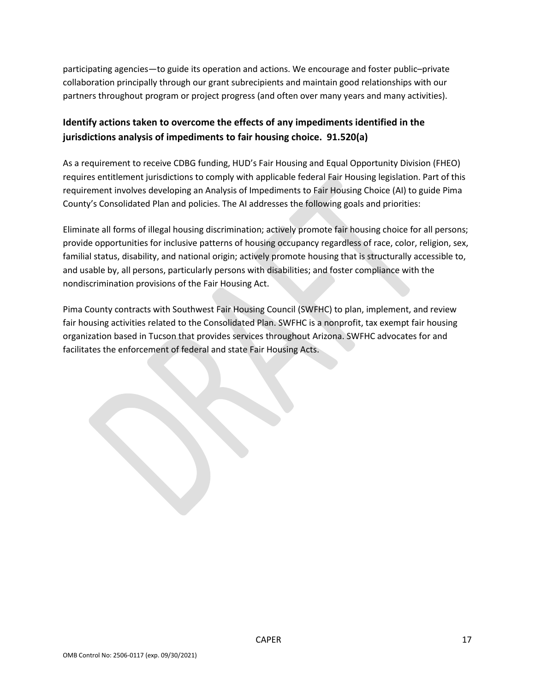participating agencies—to guide its operation and actions. We encourage and foster public–private collaboration principally through our grant subrecipients and maintain good relationships with our partners throughout program or project progress (and often over many years and many activities).

# **Identify actions taken to overcome the effects of any impediments identified in the jurisdictions analysis of impediments to fair housing choice. 91.520(a)**

As a requirement to receive CDBG funding, HUD's Fair Housing and Equal Opportunity Division (FHEO) requires entitlement jurisdictions to comply with applicable federal Fair Housing legislation. Part of this requirement involves developing an Analysis of Impediments to Fair Housing Choice (AI) to guide Pima County's Consolidated Plan and policies. The AI addresses the following goals and priorities:

Eliminate all forms of illegal housing discrimination; actively promote fair housing choice for all persons; provide opportunities for inclusive patterns of housing occupancy regardless of race, color, religion, sex, familial status, disability, and national origin; actively promote housing that is structurally accessible to, and usable by, all persons, particularly persons with disabilities; and foster compliance with the nondiscrimination provisions of the Fair Housing Act.

Pima County contracts with Southwest Fair Housing Council (SWFHC) to plan, implement, and review fair housing activities related to the Consolidated Plan. SWFHC is a nonprofit, tax exempt fair housing organization based in Tucson that provides services throughout Arizona. SWFHC advocates for and facilitates the enforcement of federal and state Fair Housing Acts.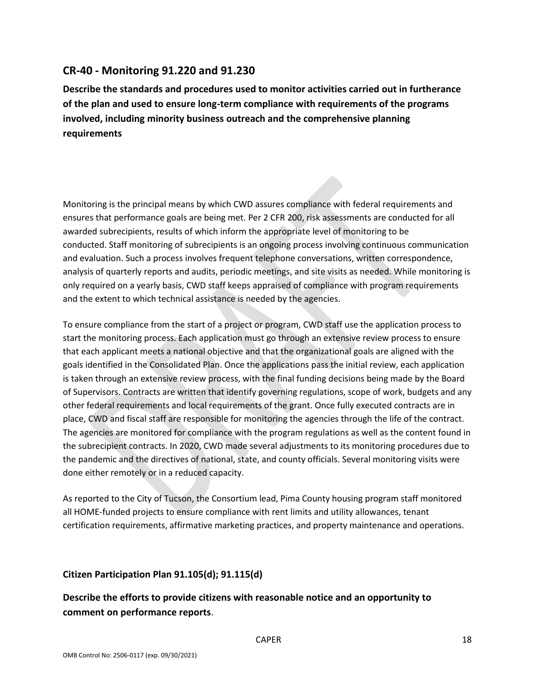## **CR-40 - Monitoring 91.220 and 91.230**

**Describe the standards and procedures used to monitor activities carried out in furtherance of the plan and used to ensure long-term compliance with requirements of the programs involved, including minority business outreach and the comprehensive planning requirements**

Monitoring is the principal means by which CWD assures compliance with federal requirements and ensures that performance goals are being met. Per 2 CFR 200, risk assessments are conducted for all awarded subrecipients, results of which inform the appropriate level of monitoring to be conducted. Staff monitoring of subrecipients is an ongoing process involving continuous communication and evaluation. Such a process involves frequent telephone conversations, written correspondence, analysis of quarterly reports and audits, periodic meetings, and site visits as needed. While monitoring is only required on a yearly basis, CWD staff keeps appraised of compliance with program requirements and the extent to which technical assistance is needed by the agencies.

To ensure compliance from the start of a project or program, CWD staff use the application process to start the monitoring process. Each application must go through an extensive review process to ensure that each applicant meets a national objective and that the organizational goals are aligned with the goals identified in the Consolidated Plan. Once the applications pass the initial review, each application is taken through an extensive review process, with the final funding decisions being made by the Board of Supervisors. Contracts are written that identify governing regulations, scope of work, budgets and any other federal requirements and local requirements of the grant. Once fully executed contracts are in place, CWD and fiscal staff are responsible for monitoring the agencies through the life of the contract. The agencies are monitored for compliance with the program regulations as well as the content found in the subrecipient contracts. In 2020, CWD made several adjustments to its monitoring procedures due to the pandemic and the directives of national, state, and county officials. Several monitoring visits were done either remotely or in a reduced capacity.

As reported to the City of Tucson, the Consortium lead, Pima County housing program staff monitored all HOME-funded projects to ensure compliance with rent limits and utility allowances, tenant certification requirements, affirmative marketing practices, and property maintenance and operations.

### **Citizen Participation Plan 91.105(d); 91.115(d)**

**Describe the efforts to provide citizens with reasonable notice and an opportunity to comment on performance reports**.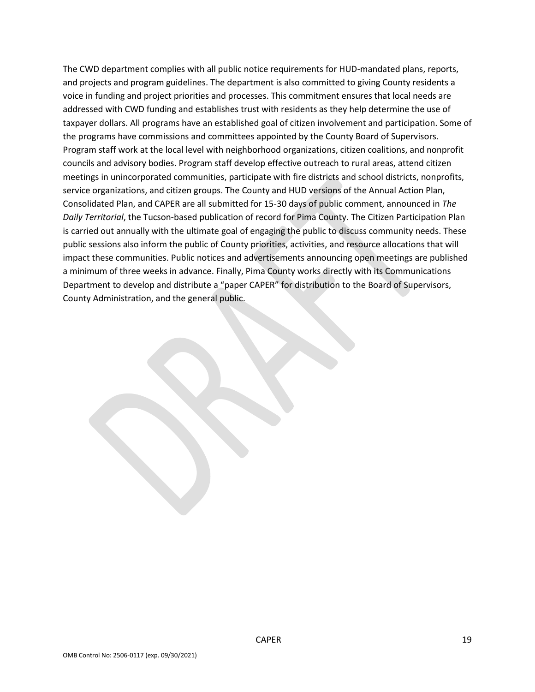The CWD department complies with all public notice requirements for HUD-mandated plans, reports, and projects and program guidelines. The department is also committed to giving County residents a voice in funding and project priorities and processes. This commitment ensures that local needs are addressed with CWD funding and establishes trust with residents as they help determine the use of taxpayer dollars. All programs have an established goal of citizen involvement and participation. Some of the programs have commissions and committees appointed by the County Board of Supervisors. Program staff work at the local level with neighborhood organizations, citizen coalitions, and nonprofit councils and advisory bodies. Program staff develop effective outreach to rural areas, attend citizen meetings in unincorporated communities, participate with fire districts and school districts, nonprofits, service organizations, and citizen groups. The County and HUD versions of the Annual Action Plan, Consolidated Plan, and CAPER are all submitted for 15-30 days of public comment, announced in *The Daily Territorial*, the Tucson-based publication of record for Pima County. The Citizen Participation Plan is carried out annually with the ultimate goal of engaging the public to discuss community needs. These public sessions also inform the public of County priorities, activities, and resource allocations that will impact these communities. Public notices and advertisements announcing open meetings are published a minimum of three weeks in advance. Finally, Pima County works directly with its Communications Department to develop and distribute a "paper CAPER" for distribution to the Board of Supervisors, County Administration, and the general public.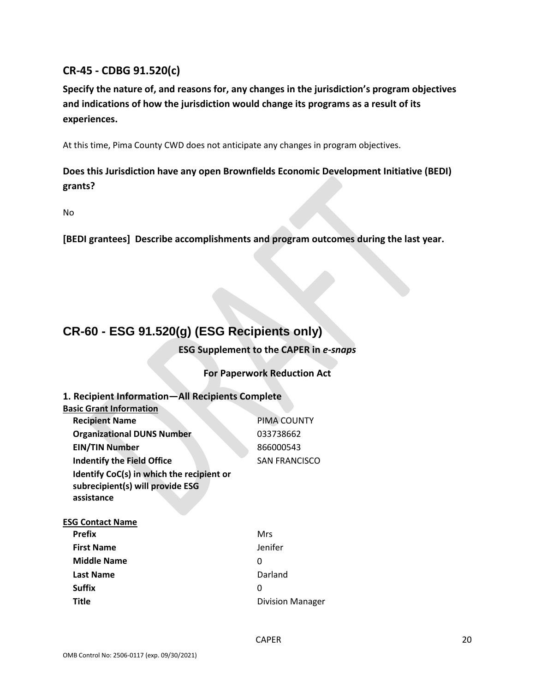# **CR-45 - CDBG 91.520(c)**

**Specify the nature of, and reasons for, any changes in the jurisdiction's program objectives and indications of how the jurisdiction would change its programs as a result of its experiences.**

At this time, Pima County CWD does not anticipate any changes in program objectives.

**Does this Jurisdiction have any open Brownfields Economic Development Initiative (BEDI) grants?**

No

**[BEDI grantees] Describe accomplishments and program outcomes during the last year.**

# **CR-60 - ESG 91.520(g) (ESG Recipients only)**

#### **ESG Supplement to the CAPER in** *e-snaps*

### **For Paperwork Reduction Act**

#### **1. Recipient Information—All Recipients Complete**

**Suffix** 0

| <b>Basic Grant Information</b>                                                              |                      |
|---------------------------------------------------------------------------------------------|----------------------|
| <b>Recipient Name</b>                                                                       | PIMA COUNTY          |
| <b>Organizational DUNS Number</b>                                                           | 033738662            |
| <b>EIN/TIN Number</b>                                                                       | 866000543            |
| <b>Indentify the Field Office</b>                                                           | <b>SAN FRANCISCO</b> |
| Identify CoC(s) in which the recipient or<br>subrecipient(s) will provide ESG<br>assistance |                      |
| <b>ESG Contact Name</b>                                                                     |                      |
| Prefix                                                                                      | <b>Mrs</b>           |
| <b>First Name</b>                                                                           | Jenifer              |
| <b>Middle Name</b>                                                                          | Ω                    |
| Last Name                                                                                   | Darland              |
|                                                                                             |                      |

**Title** Division Manager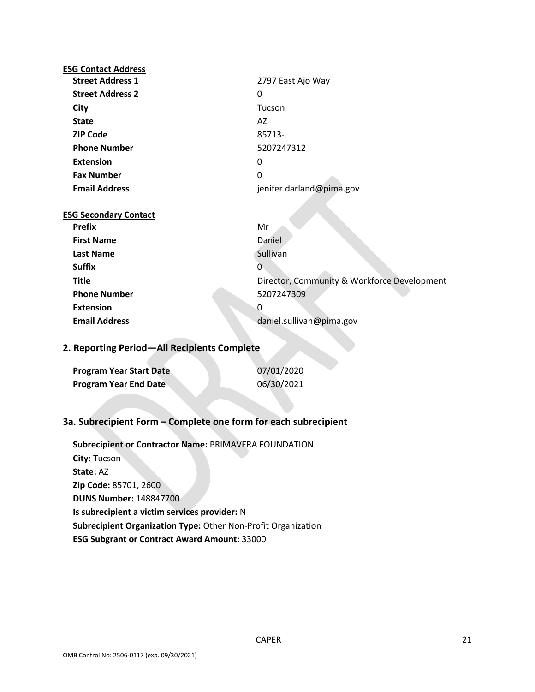| <b>ESG Contact Address</b> |                          |
|----------------------------|--------------------------|
| <b>Street Address 1</b>    | 2797 East Ajo Way        |
| <b>Street Address 2</b>    | 0                        |
| City                       | Tucson                   |
| <b>State</b>               | A7                       |
| <b>ZIP Code</b>            | 85713-                   |
| <b>Phone Number</b>        | 5207247312               |
| <b>Extension</b>           | 0                        |
| <b>Fax Number</b>          | 0                        |
| <b>Email Address</b>       | jenifer.darland@pima.gov |
|                            |                          |

| <b>ESG Secondary Contact</b> |                                             |
|------------------------------|---------------------------------------------|
| <b>Prefix</b>                | Mr                                          |
| <b>First Name</b>            | Daniel                                      |
| <b>Last Name</b>             | Sullivan                                    |
| <b>Suffix</b>                | 0                                           |
| <b>Title</b>                 | Director, Community & Workforce Development |
| <b>Phone Number</b>          | 5207247309                                  |
| <b>Extension</b>             |                                             |
| <b>Email Address</b>         | daniel.sullivan@pima.gov                    |
|                              |                                             |

## **2. Reporting Period—All Recipients Complete**

| <b>Program Year Start Date</b> | 07/01/2020 |
|--------------------------------|------------|
| <b>Program Year End Date</b>   | 06/30/2021 |

## **3a. Subrecipient Form – Complete one form for each subrecipient**

**Subrecipient or Contractor Name:** PRIMAVERA FOUNDATION **City:** Tucson **State:** AZ **Zip Code:** 85701, 2600 **DUNS Number:** 148847700 **Is subrecipient a victim services provider:** N **Subrecipient Organization Type:** Other Non-Profit Organization **ESG Subgrant or Contract Award Amount:** 33000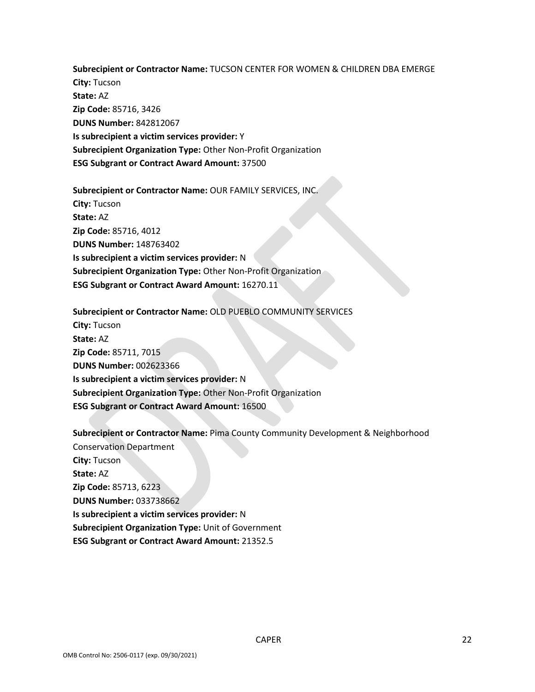**Subrecipient or Contractor Name:** TUCSON CENTER FOR WOMEN & CHILDREN DBA EMERGE **City:** Tucson **State:** AZ **Zip Code:** 85716, 3426 **DUNS Number:** 842812067 **Is subrecipient a victim services provider:** Y **Subrecipient Organization Type:** Other Non-Profit Organization

**ESG Subgrant or Contract Award Amount:** 37500

**Subrecipient or Contractor Name:** OUR FAMILY SERVICES, INC. **City:** Tucson **State:** AZ **Zip Code:** 85716, 4012 **DUNS Number:** 148763402 **Is subrecipient a victim services provider:** N **Subrecipient Organization Type:** Other Non-Profit Organization **ESG Subgrant or Contract Award Amount:** 16270.11

**Subrecipient or Contractor Name:** OLD PUEBLO COMMUNITY SERVICES **City:** Tucson **State:** AZ **Zip Code:** 85711, 7015 **DUNS Number:** 002623366 **Is subrecipient a victim services provider:** N **Subrecipient Organization Type:** Other Non-Profit Organization **ESG Subgrant or Contract Award Amount:** 16500

**Subrecipient or Contractor Name:** Pima County Community Development & Neighborhood Conservation Department **City:** Tucson **State:** AZ **Zip Code:** 85713, 6223 **DUNS Number:** 033738662 **Is subrecipient a victim services provider:** N **Subrecipient Organization Type:** Unit of Government **ESG Subgrant or Contract Award Amount:** 21352.5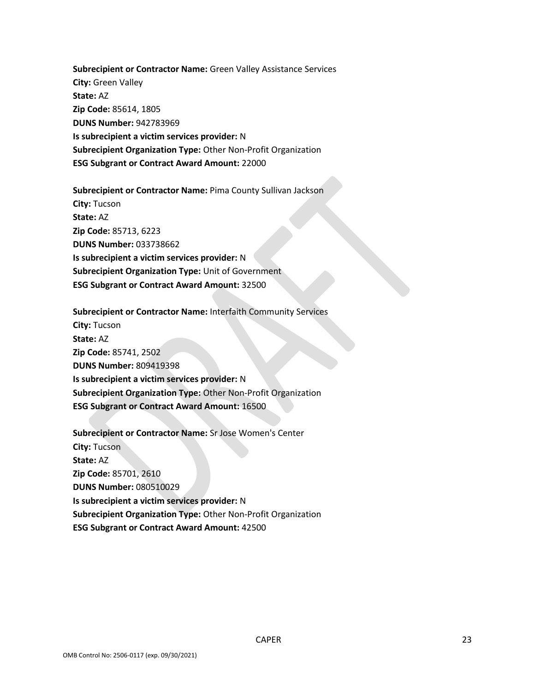**Subrecipient or Contractor Name:** Green Valley Assistance Services **City:** Green Valley **State:** AZ **Zip Code:** 85614, 1805 **DUNS Number:** 942783969 **Is subrecipient a victim services provider:** N **Subrecipient Organization Type:** Other Non-Profit Organization **ESG Subgrant or Contract Award Amount:** 22000

**Subrecipient or Contractor Name:** Pima County Sullivan Jackson **City:** Tucson **State:** AZ **Zip Code:** 85713, 6223 **DUNS Number:** 033738662 **Is subrecipient a victim services provider:** N **Subrecipient Organization Type:** Unit of Government **ESG Subgrant or Contract Award Amount:** 32500

**Subrecipient or Contractor Name:** Interfaith Community Services **City:** Tucson **State:** AZ **Zip Code:** 85741, 2502 **DUNS Number:** 809419398 **Is subrecipient a victim services provider:** N **Subrecipient Organization Type:** Other Non-Profit Organization **ESG Subgrant or Contract Award Amount:** 16500

**Subrecipient or Contractor Name:** Sr Jose Women's Center **City:** Tucson **State:** AZ **Zip Code:** 85701, 2610 **DUNS Number:** 080510029 **Is subrecipient a victim services provider:** N **Subrecipient Organization Type:** Other Non-Profit Organization **ESG Subgrant or Contract Award Amount:** 42500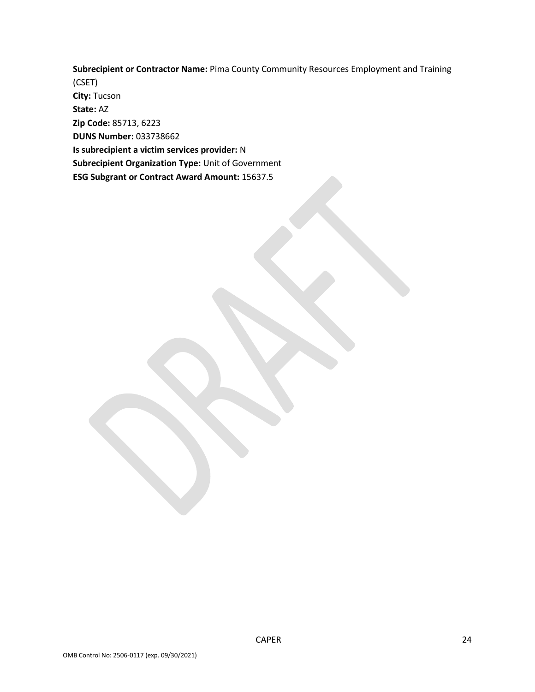**Subrecipient or Contractor Name:** Pima County Community Resources Employment and Training (CSET)

**City:** Tucson

**State:** AZ

**Zip Code:** 85713, 6223

**DUNS Number:** 033738662

**Is subrecipient a victim services provider:** N

**Subrecipient Organization Type:** Unit of Government

**ESG Subgrant or Contract Award Amount:** 15637.5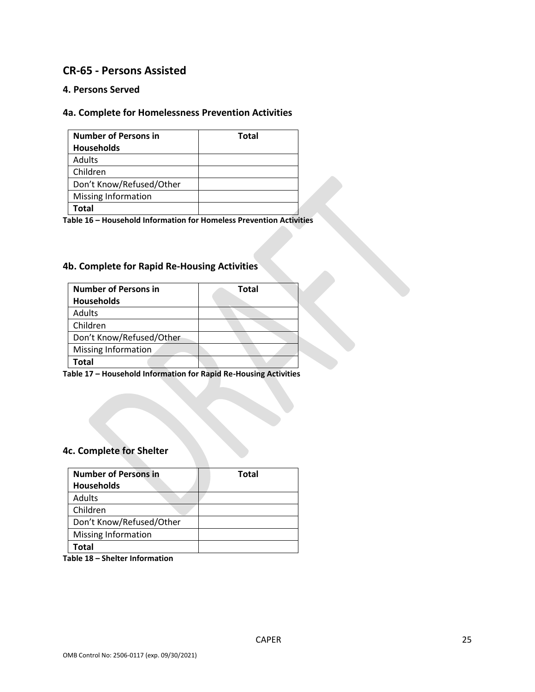# **CR-65 - Persons Assisted**

### **4. Persons Served**

### **4a. Complete for Homelessness Prevention Activities**

| <b>Number of Persons in</b> | <b>Total</b> |
|-----------------------------|--------------|
| <b>Households</b>           |              |
| Adults                      |              |
| Children                    |              |
| Don't Know/Refused/Other    |              |
| <b>Missing Information</b>  |              |
| Total                       |              |

**Table 16 – Household Information for Homeless Prevention Activities**

## **4b. Complete for Rapid Re-Housing Activities**

| <b>Number of Persons in</b><br><b>Households</b> | <b>Total</b> |
|--------------------------------------------------|--------------|
| Adults                                           |              |
| Children                                         |              |
| Don't Know/Refused/Other                         |              |
| <b>Missing Information</b>                       |              |
| <b>Total</b>                                     |              |

**Table 17 – Household Information for Rapid Re-Housing Activities**

## **4c. Complete for Shelter**

| <b>Number of Persons in</b><br><b>Households</b> | <b>Total</b> |
|--------------------------------------------------|--------------|
| Adults                                           |              |
| Children                                         |              |
| Don't Know/Refused/Other                         |              |
| <b>Missing Information</b>                       |              |
| <b>Total</b>                                     |              |

**Table 18 – Shelter Information**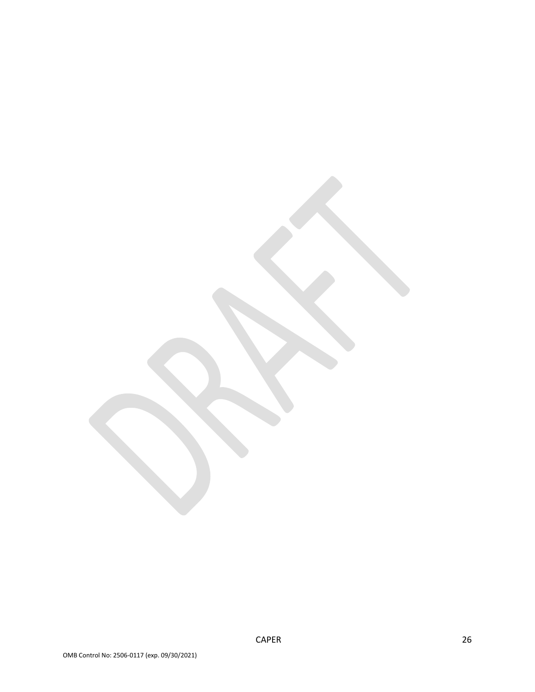OMB Control No: 2506 -0117 (exp. 09/30/2021)

CAPER 26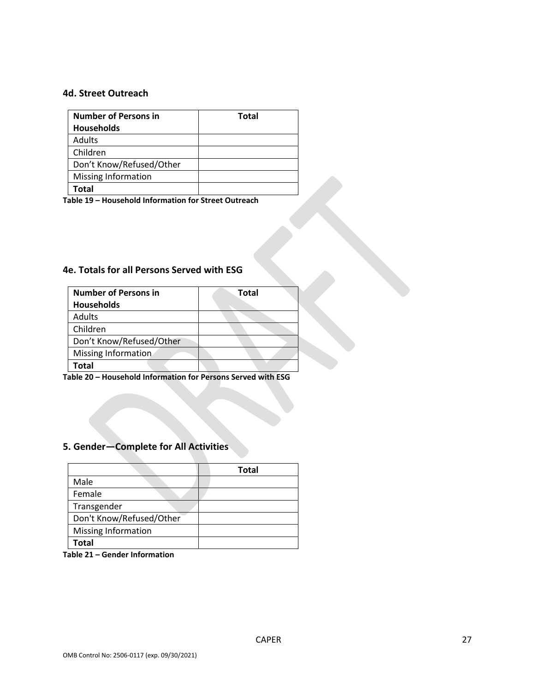### **4d. Street Outreach**

| <b>Number of Persons in</b> | <b>Total</b> |  |  |
|-----------------------------|--------------|--|--|
| <b>Households</b>           |              |  |  |
| <b>Adults</b>               |              |  |  |
| Children                    |              |  |  |
| Don't Know/Refused/Other    |              |  |  |
| <b>Missing Information</b>  |              |  |  |
| Total                       |              |  |  |

**Table 19 – Household Information for Street Outreach** 

### **4e. Totals for all Persons Served with ESG**

| <b>Number of Persons in</b> | <b>Total</b> |
|-----------------------------|--------------|
| <b>Households</b>           |              |
| Adults                      |              |
| Children                    |              |
| Don't Know/Refused/Other    |              |
| Missing Information         |              |
| Total                       |              |

**Table 20 – Household Information for Persons Served with ESG**

# **5. Gender—Complete for All Activities**

|                            | <b>Total</b> |
|----------------------------|--------------|
| Male                       |              |
| Female                     |              |
| Transgender                |              |
| Don't Know/Refused/Other   |              |
| <b>Missing Information</b> |              |
| Total                      |              |

**Table 21 – Gender Information**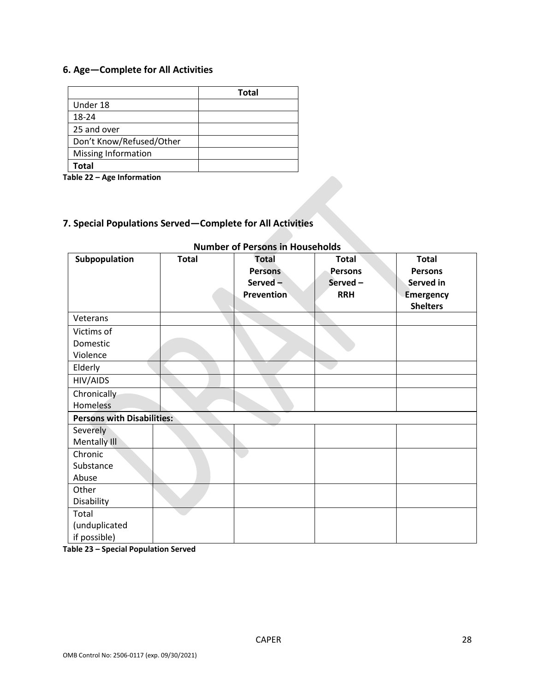# **6. Age—Complete for All Activities**

|                            | <b>Total</b> |
|----------------------------|--------------|
| Under 18                   |              |
| 18-24                      |              |
| 25 and over                |              |
| Don't Know/Refused/Other   |              |
| <b>Missing Information</b> |              |
| Total                      |              |

**Table 22 – Age Information**

# **7. Special Populations Served—Complete for All Activities**

| Subpopulation                     | <b>Total</b> | <b>Total</b>   | <b>Total</b>   | <b>Total</b>     |
|-----------------------------------|--------------|----------------|----------------|------------------|
|                                   |              | <b>Persons</b> | <b>Persons</b> | <b>Persons</b>   |
|                                   |              | Served-        | Served-        | Served in        |
|                                   |              | Prevention     | <b>RRH</b>     | <b>Emergency</b> |
|                                   |              |                |                | <b>Shelters</b>  |
| Veterans                          |              |                |                |                  |
| Victims of                        |              |                |                |                  |
| Domestic                          |              |                |                |                  |
| Violence                          |              |                |                |                  |
| Elderly                           |              |                |                |                  |
| HIV/AIDS                          |              |                |                |                  |
| Chronically                       |              |                |                |                  |
| Homeless                          |              |                |                |                  |
| <b>Persons with Disabilities:</b> |              |                |                |                  |
| Severely                          |              |                |                |                  |
| Mentally III                      |              |                |                |                  |
| Chronic                           |              |                |                |                  |
| Substance                         |              |                |                |                  |
| Abuse                             |              |                |                |                  |
| Other                             |              |                |                |                  |
| Disability                        |              |                |                |                  |
| Total                             |              |                |                |                  |
| (unduplicated                     |              |                |                |                  |
| if possible)                      |              |                |                |                  |

## **Number of Persons in Households**

**Table 23 – Special Population Served**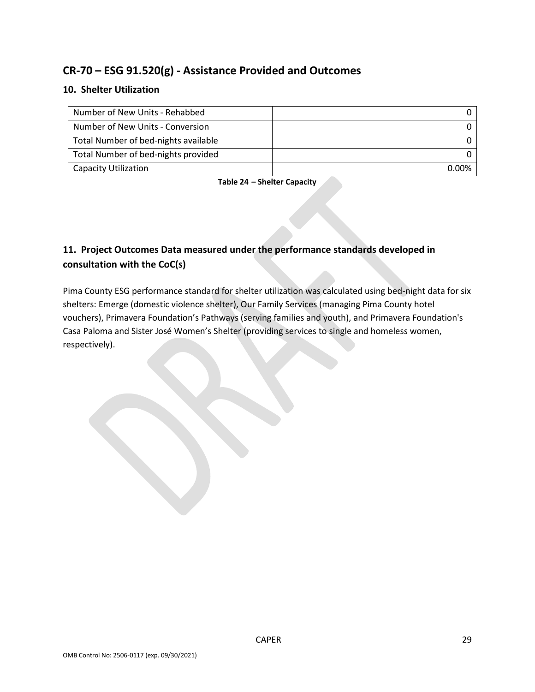# **CR-70 – ESG 91.520(g) - Assistance Provided and Outcomes**

### **10. Shelter Utilization**

| Number of New Units - Rehabbed       |       |
|--------------------------------------|-------|
| Number of New Units - Conversion     |       |
| Total Number of bed-nights available |       |
| Total Number of bed-nights provided  |       |
| <b>Capacity Utilization</b>          | n nn% |

**Table 24 – Shelter Capacity**

# **11. Project Outcomes Data measured under the performance standards developed in consultation with the CoC(s)**

Pima County ESG performance standard for shelter utilization was calculated using bed-night data for six shelters: Emerge (domestic violence shelter), Our Family Services (managing Pima County hotel vouchers), Primavera Foundation's Pathways (serving families and youth), and Primavera Foundation's Casa Paloma and Sister José Women's Shelter (providing services to single and homeless women, respectively).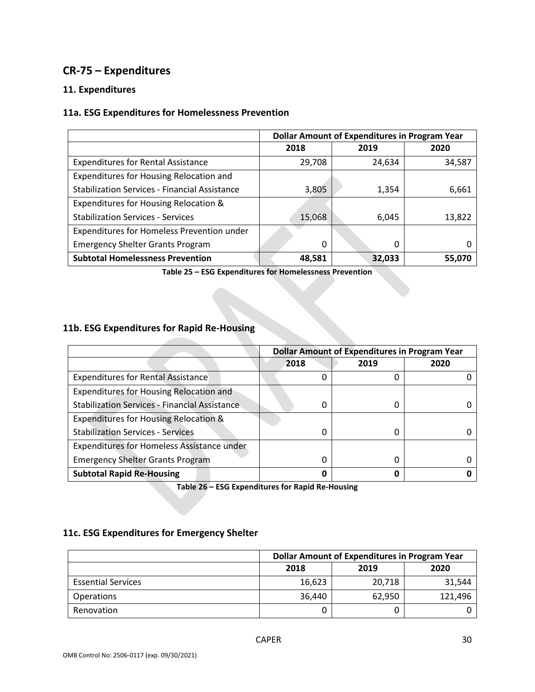# **CR-75 – Expenditures**

### **11. Expenditures**

## **11a. ESG Expenditures for Homelessness Prevention**

|                                                      | <b>Dollar Amount of Expenditures in Program Year</b> |        |        |
|------------------------------------------------------|------------------------------------------------------|--------|--------|
|                                                      | 2018                                                 | 2019   | 2020   |
| <b>Expenditures for Rental Assistance</b>            | 29,708                                               | 24,634 | 34,587 |
| Expenditures for Housing Relocation and              |                                                      |        |        |
| <b>Stabilization Services - Financial Assistance</b> | 3,805                                                | 1,354  | 6,661  |
| Expenditures for Housing Relocation &                |                                                      |        |        |
| <b>Stabilization Services - Services</b>             | 15,068                                               | 6,045  | 13,822 |
| Expenditures for Homeless Prevention under           |                                                      |        |        |
| <b>Emergency Shelter Grants Program</b>              | 0                                                    | 0      |        |
| <b>Subtotal Homelessness Prevention</b>              | 48,581                                               | 32,033 | 55,070 |

**Table 25 – ESG Expenditures for Homelessness Prevention**

### **11b. ESG Expenditures for Rapid Re-Housing**

|                                                      | <b>Dollar Amount of Expenditures in Program Year</b> |      |      |
|------------------------------------------------------|------------------------------------------------------|------|------|
|                                                      | 2018                                                 | 2019 | 2020 |
| <b>Expenditures for Rental Assistance</b>            |                                                      | Ω    |      |
| <b>Expenditures for Housing Relocation and</b>       |                                                      |      |      |
| <b>Stabilization Services - Financial Assistance</b> |                                                      | O    |      |
| <b>Expenditures for Housing Relocation &amp;</b>     |                                                      |      |      |
| <b>Stabilization Services - Services</b>             |                                                      | 0    |      |
| Expenditures for Homeless Assistance under           |                                                      |      |      |
| <b>Emergency Shelter Grants Program</b>              |                                                      | 0    |      |
| <b>Subtotal Rapid Re-Housing</b>                     |                                                      | 0    |      |

**Table 26 – ESG Expenditures for Rapid Re-Housing**

## **11c. ESG Expenditures for Emergency Shelter**

|                           | <b>Dollar Amount of Expenditures in Program Year</b> |        |         |
|---------------------------|------------------------------------------------------|--------|---------|
|                           | 2018                                                 | 2020   |         |
| <b>Essential Services</b> | 16,623                                               | 20.718 | 31,544  |
| <b>Operations</b>         | 36,440                                               | 62,950 | 121,496 |
| Renovation                |                                                      |        |         |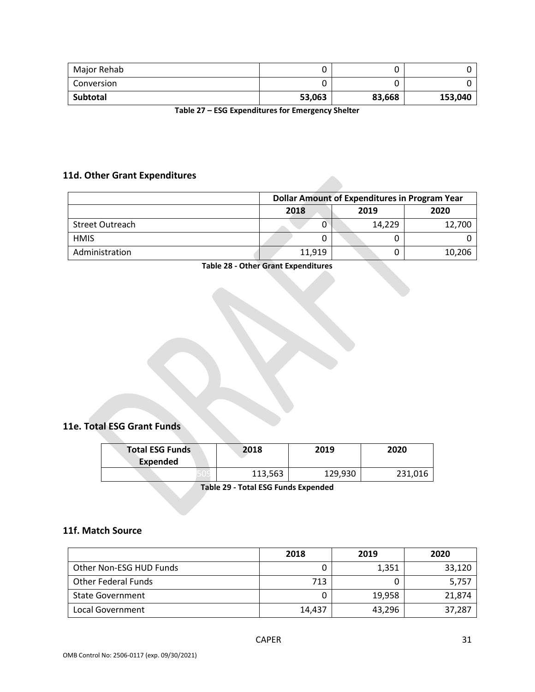| Major Rehab |        |        |         |
|-------------|--------|--------|---------|
| Conversion  |        |        |         |
| Subtotal    | 53,063 | 83,668 | 153,040 |

**Table 27 – ESG Expenditures for Emergency Shelter**

## **11d. Other Grant Expenditures**

|                 | <b>Dollar Amount of Expenditures in Program Year</b> |        |        |  |
|-----------------|------------------------------------------------------|--------|--------|--|
|                 | 2018                                                 | 2019   | 2020   |  |
| Street Outreach |                                                      | 14,229 | 12,700 |  |
| <b>HMIS</b>     |                                                      |        |        |  |
| Administration  | 11,919                                               |        | 10,206 |  |

**Table 28 - Other Grant Expenditures**

### **11e. Total ESG Grant Funds**

| <b>Total ESG Funds</b><br>Expended | 2018    | 2019    | 2020    |
|------------------------------------|---------|---------|---------|
|                                    | 113,563 | 129,930 | 231,016 |

**Table 29 - Total ESG Funds Expended**

### **11f. Match Source**

|                            | 2018   | 2019   | 2020   |
|----------------------------|--------|--------|--------|
| Other Non-ESG HUD Funds    |        | 1,351  | 33,120 |
| <b>Other Federal Funds</b> | 713    |        | 5,757  |
| <b>State Government</b>    |        | 19,958 | 21,874 |
| Local Government           | 14,437 | 43,296 | 37,287 |